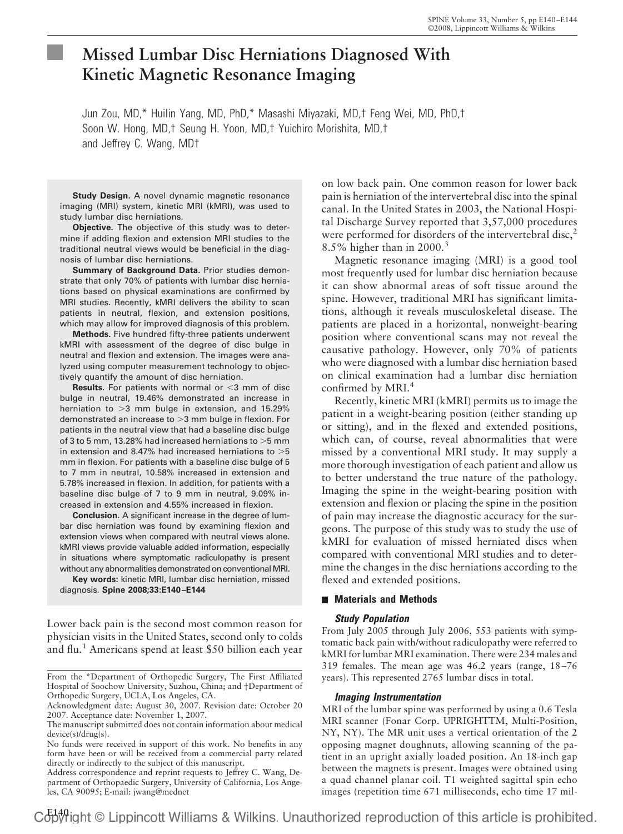# **Missed Lumbar Disc Herniations Diagnosed With Kinetic Magnetic Resonance Imaging**

Jun Zou, MD,\* Huilin Yang, MD, PhD,\* Masashi Miyazaki, MD,† Feng Wei, MD, PhD,† Soon W. Hong, MD,† Seung H. Yoon, MD,† Yuichiro Morishita, MD,† and Jeffrey C. Wang, MD†

**Study Design.** A novel dynamic magnetic resonance imaging (MRI) system, kinetic MRI (kMRI), was used to study lumbar disc herniations.

**Objective.** The objective of this study was to determine if adding flexion and extension MRI studies to the traditional neutral views would be beneficial in the diagnosis of lumbar disc herniations.

**Summary of Background Data.** Prior studies demonstrate that only 70% of patients with lumbar disc herniations based on physical examinations are confirmed by MRI studies. Recently, kMRI delivers the ability to scan patients in neutral, flexion, and extension positions, which may allow for improved diagnosis of this problem.

**Methods.** Five hundred fifty-three patients underwent kMRI with assessment of the degree of disc bulge in neutral and flexion and extension. The images were analyzed using computer measurement technology to objectively quantify the amount of disc herniation.

**Results.** For patients with normal or  $<$ 3 mm of disc bulge in neutral, 19.46% demonstrated an increase in herniation to  $>$ 3 mm bulge in extension, and 15.29% demonstrated an increase to  $>$ 3 mm bulge in flexion. For patients in the neutral view that had a baseline disc bulge of 3 to 5 mm, 13.28% had increased herniations to  $>$ 5 mm in extension and 8.47% had increased herniations to  $>5$ mm in flexion. For patients with a baseline disc bulge of 5 to 7 mm in neutral, 10.58% increased in extension and 5.78% increased in flexion. In addition, for patients with a baseline disc bulge of 7 to 9 mm in neutral, 9.09% increased in extension and 4.55% increased in flexion.

**Conclusion.** A significant increase in the degree of lumbar disc herniation was found by examining flexion and extension views when compared with neutral views alone. kMRI views provide valuable added information, especially in situations where symptomatic radiculopathy is present without any abnormalities demonstrated on conventional MRI.

**Key words:** kinetic MRI, lumbar disc herniation, missed diagnosis. **Spine 2008;33:E140 –E144**

Lower back pain is the second most common reason for physician visits in the United States, second only to colds and flu.<sup>1</sup> Americans spend at least \$50 billion each year

Address correspondence and reprint requests to Jeffrey C. Wang, Department of Orthopaedic Surgery, University of California, Los Angeles, CA 90095; E-mail: jwang@mednet

on low back pain. One common reason for lower back pain is herniation of the intervertebral disc into the spinal canal. In the United States in 2003, the National Hospital Discharge Survey reported that 3,57,000 procedures were performed for disorders of the intervertebral disc,<sup>2</sup> 8.5% higher than in  $2000<sup>3</sup>$ 

Magnetic resonance imaging (MRI) is a good tool most frequently used for lumbar disc herniation because it can show abnormal areas of soft tissue around the spine. However, traditional MRI has significant limitations, although it reveals musculoskeletal disease. The patients are placed in a horizontal, nonweight-bearing position where conventional scans may not reveal the causative pathology. However, only 70% of patients who were diagnosed with a lumbar disc herniation based on clinical examination had a lumbar disc herniation confirmed by MRI.<sup>4</sup>

Recently, kinetic MRI (kMRI) permits us to image the patient in a weight-bearing position (either standing up or sitting), and in the flexed and extended positions, which can, of course, reveal abnormalities that were missed by a conventional MRI study. It may supply a more thorough investigation of each patient and allow us to better understand the true nature of the pathology. Imaging the spine in the weight-bearing position with extension and flexion or placing the spine in the position of pain may increase the diagnostic accuracy for the surgeons. The purpose of this study was to study the use of kMRI for evaluation of missed herniated discs when compared with conventional MRI studies and to determine the changes in the disc herniations according to the flexed and extended positions.

# **Materials and Methods**

## *Study Population*

From July 2005 through July 2006, 553 patients with symptomatic back pain with/without radiculopathy were referred to kMRI for lumbar MRI examination. There were 234 males and 319 females. The mean age was 46.2 years (range, 18–76 years). This represented 2765 lumbar discs in total.

## *Imaging Instrumentation*

MRI of the lumbar spine was performed by using a 0.6 Tesla MRI scanner (Fonar Corp. UPRIGHTTM, Multi-Position, NY, NY). The MR unit uses a vertical orientation of the 2 opposing magnet doughnuts, allowing scanning of the patient in an upright axially loaded position. An 18-inch gap between the magnets is present. Images were obtained using a quad channel planar coil. T1 weighted sagittal spin echo images (repetition time 671 milliseconds, echo time 17 mil-

**Contract Controllet Controllet Controllet Controllet Controllet Controllet Controllet Controllet Exploribance Controllet Controllet Controllet Controllet Controllet Controllet Controllet Controllet Controllet Controllet C** 

From the \*Department of Orthopedic Surgery, The First Affiliated Hospital of Soochow University, Suzhou, China; and †Department of Orthopedic Surgery, UCLA, Los Angeles, CA.

Acknowledgment date: August 30, 2007. Revision date: October 20 2007. Acceptance date: November 1, 2007.

The manuscript submitted does not contain information about medical device(s)/drug(s).

No funds were received in support of this work. No benefits in any form have been or will be received from a commercial party related directly or indirectly to the subject of this manuscript.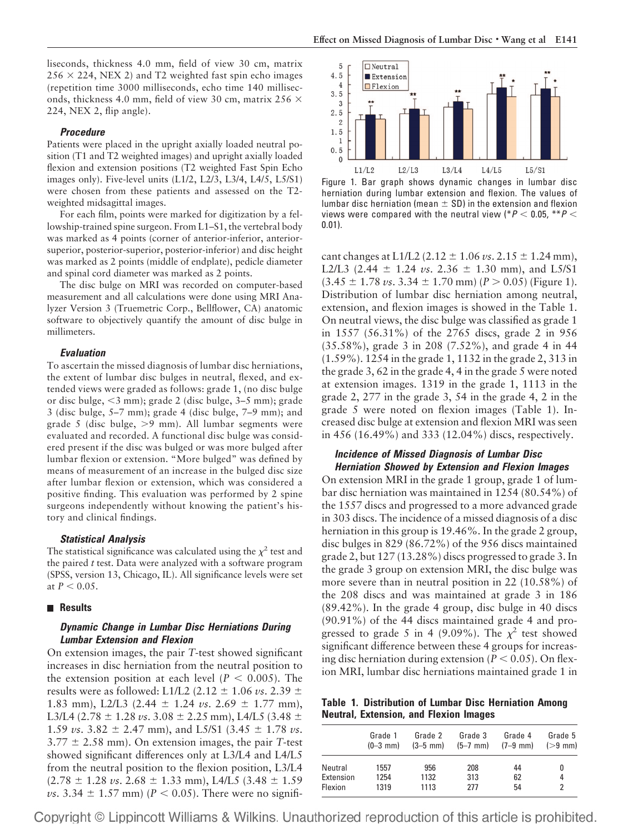liseconds, thickness 4.0 mm, field of view 30 cm, matrix  $256 \times 224$ , NEX 2) and T2 weighted fast spin echo images (repetition time 3000 milliseconds, echo time 140 milliseconds, thickness 4.0 mm, field of view 30 cm, matrix 256  $\times$ 224, NEX 2, flip angle).

## *Procedure*

Patients were placed in the upright axially loaded neutral position (T1 and T2 weighted images) and upright axially loaded flexion and extension positions (T2 weighted Fast Spin Echo images only). Five-level units (L1/2, L2/3, L3/4, L4/5, L5/S1) were chosen from these patients and assessed on the T2 weighted midsagittal images.

For each film, points were marked for digitization by a fellowship-trained spine surgeon. From L1–S1, the vertebral body was marked as 4 points (corner of anterior-inferior, anteriorsuperior, posterior-superior, posterior-inferior) and disc height was marked as 2 points (middle of endplate), pedicle diameter and spinal cord diameter was marked as 2 points.

The disc bulge on MRI was recorded on computer-based measurement and all calculations were done using MRI Analyzer Version 3 (Truemetric Corp., Bellflower, CA) anatomic software to objectively quantify the amount of disc bulge in millimeters.

## *Evaluation*

To ascertain the missed diagnosis of lumbar disc herniations, the extent of lumbar disc bulges in neutral, flexed, and extended views were graded as follows: grade 1, (no disc bulge or disc bulge, 3 mm); grade 2 (disc bulge, 3–5 mm); grade 3 (disc bulge, 5–7 mm); grade 4 (disc bulge, 7–9 mm); and grade 5 (disc bulge, -9 mm). All lumbar segments were evaluated and recorded. A functional disc bulge was considered present if the disc was bulged or was more bulged after lumbar flexion or extension. "More bulged" was defined by means of measurement of an increase in the bulged disc size after lumbar flexion or extension, which was considered a positive finding. This evaluation was performed by 2 spine surgeons independently without knowing the patient's history and clinical findings.

## *Statistical Analysis*

The statistical significance was calculated using the  $\chi^2$  test and the paired *t* test. Data were analyzed with a software program (SPSS, version 13, Chicago, IL). All significance levels were set at  $P < 0.05$ .

#### **Results**

# *Dynamic Change in Lumbar Disc Herniations During Lumbar Extension and Flexion*

On extension images, the pair *T*-test showed significant increases in disc herniation from the neutral position to the extension position at each level  $(P < 0.005)$ . The results were as followed: L1/L2 (2.12  $\pm$  1.06 *vs*. 2.39  $\pm$ 1.83 mm), L2/L3  $(2.44 \pm 1.24 \text{ vs. } 2.69 \pm 1.77 \text{ mm})$ , L3/L4 (2.78  $\pm$  1.28 *vs*. 3.08  $\pm$  2.25 mm), L4/L5 (3.48  $\pm$ 1.59 *vs*. 3.82  $\pm$  2.47 mm), and L5/S1 (3.45  $\pm$  1.78 *vs*.  $3.77 \pm 2.58$  mm). On extension images, the pair *T*-test showed significant differences only at L3/L4 and L4/L5 from the neutral position to the flexion position, L3/L4  $(2.78 \pm 1.28 \text{ vs. } 2.68 \pm 1.33 \text{ mm})$ , L4/L5  $(3.48 \pm 1.59 \text{ m})$ *vs*. 3.34  $\pm$  1.57 mm) (*P* < 0.05). There were no signifi-



Figure 1. Bar graph shows dynamic changes in lumbar disc herniation during lumbar extension and flexion. The values of lumbar disc herniation (mean  $\pm$  SD) in the extension and flexion views were compared with the neutral view ( $*P < 0.05$ ,  $**P <$ 0.01).

cant changes at L1/L2 (2.12  $\pm$  1.06 *vs*. 2.15  $\pm$  1.24 mm), L2/L3 (2.44  $\pm$  1.24 *vs*. 2.36  $\pm$  1.30 mm), and L5/S1  $(3.45 \pm 1.78 \text{ vs. } 3.34 \pm 1.70 \text{ mm})$  ( $P > 0.05$ ) (Figure 1). Distribution of lumbar disc herniation among neutral, extension, and flexion images is showed in the Table 1. On neutral views, the disc bulge was classified as grade 1 in 1557 (56.31%) of the 2765 discs, grade 2 in 956 (35.58%), grade 3 in 208 (7.52%), and grade 4 in 44 (1.59%). 1254 in the grade 1, 1132 in the grade 2, 313 in the grade 3, 62 in the grade 4, 4 in the grade 5 were noted at extension images. 1319 in the grade 1, 1113 in the grade 2, 277 in the grade 3, 54 in the grade 4, 2 in the grade 5 were noted on flexion images (Table 1). Increased disc bulge at extension and flexion MRI was seen in 456 (16.49%) and 333 (12.04%) discs, respectively.

# *Incidence of Missed Diagnosis of Lumbar Disc Herniation Showed by Extension and Flexion Images*

On extension MRI in the grade 1 group, grade 1 of lumbar disc herniation was maintained in 1254 (80.54%) of the 1557 discs and progressed to a more advanced grade in 303 discs. The incidence of a missed diagnosis of a disc herniation in this group is 19.46%. In the grade 2 group, disc bulges in 829 (86.72%) of the 956 discs maintained grade 2, but 127 (13.28%) discs progressed to grade 3. In the grade 3 group on extension MRI, the disc bulge was more severe than in neutral position in 22 (10.58%) of the 208 discs and was maintained at grade 3 in 186 (89.42%). In the grade 4 group, disc bulge in 40 discs (90.91%) of the 44 discs maintained grade 4 and progressed to grade 5 in 4 (9.09%). The  $\chi^2$  test showed significant difference between these 4 groups for increasing disc herniation during extension ( $P < 0.05$ ). On flexion MRI, lumbar disc herniations maintained grade 1 in

**Table 1. Distribution of Lumbar Disc Herniation Among Neutral, Extension, and Flexion Images**

|           | Grade 1<br>$(0-3$ mm) | Grade 2<br>$(3 - 5$ mm) | Grade 3<br>$(5 - 7)$ mm) | Grade 4<br>$(7-9$ mm) | Grade 5<br>$(>9$ mm) |
|-----------|-----------------------|-------------------------|--------------------------|-----------------------|----------------------|
| Neutral   | 1557                  | 956                     | 208                      | 44                    | 0                    |
| Extension | 1254                  | 1132                    | 313                      | 62                    | 4                    |
| Flexion   | 1319                  | 1113                    | 277                      | 54                    | 2                    |

Copyright © Lippincott Williams & Wilkins. Unauthorized reproduction of this article is prohibited.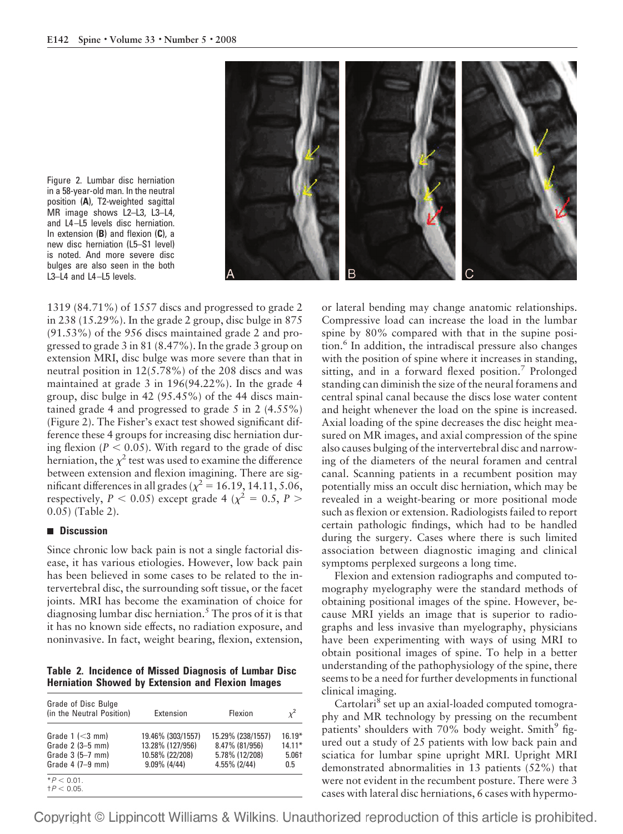Figure 2. Lumbar disc herniation in a 58-year-old man. In the neutral position (**A**), T2-weighted sagittal MR image shows L2–L3, L3–L4, and L4 –L5 levels disc herniation. In extension (**B**) and flexion (**C**), a new disc herniation (L5–S1 level) is noted. And more severe disc bulges are also seen in the both L3-L4 and L4-L5 levels.



1319 (84.71%) of 1557 discs and progressed to grade 2 in 238 (15.29%). In the grade 2 group, disc bulge in 875 (91.53%) of the 956 discs maintained grade 2 and progressed to grade 3 in 81 (8.47%). In the grade 3 group on extension MRI, disc bulge was more severe than that in neutral position in 12(5.78%) of the 208 discs and was maintained at grade 3 in 196(94.22%). In the grade 4 group, disc bulge in 42 (95.45%) of the 44 discs maintained grade 4 and progressed to grade 5 in 2 (4.55%) (Figure 2). The Fisher's exact test showed significant difference these 4 groups for increasing disc herniation during flexion ( $P < 0.05$ ). With regard to the grade of disc herniation, the  $\chi^2$  test was used to examine the difference between extension and flexion imagining. There are significant differences in all grades ( $\chi^2$  = 16.19, 14.11, 5.06, respectively, *P* < 0.05) except grade 4 ( $\chi^2$  = 0.5, *P* > 0.05) (Table 2).

## **Discussion**

Since chronic low back pain is not a single factorial disease, it has various etiologies. However, low back pain has been believed in some cases to be related to the intervertebral disc, the surrounding soft tissue, or the facet joints. MRI has become the examination of choice for diagnosing lumbar disc herniation.<sup>5</sup> The pros of it is that it has no known side effects, no radiation exposure, and noninvasive. In fact, weight bearing, flexion, extension,

**Table 2. Incidence of Missed Diagnosis of Lumbar Disc Herniation Showed by Extension and Flexion Images**

| Grade of Disc Bulge<br>(in the Neutral Position) | Extension         | Flexion           |          |
|--------------------------------------------------|-------------------|-------------------|----------|
| Grade $1$ ( $<$ 3 mm)                            | 19.46% (303/1557) | 15.29% (238/1557) | $16.19*$ |
| Grade $2(3-5$ mm)                                | 13.28% (127/956)  | 8.47% (81/956)    | $14.11*$ |
| Grade $3(5-7$ mm)                                | 10.58% (22/208)   | 5.78% (12/208)    | 5.06†    |
| Grade 4 (7-9 mm)                                 | $9.09\%$ (4/44)   | 4.55% (2/44)      | 0.5      |
| $*P < 0.01$ .<br>$+P < 0.05$ .                   |                   |                   |          |

or lateral bending may change anatomic relationships. Compressive load can increase the load in the lumbar spine by 80% compared with that in the supine position.6 In addition, the intradiscal pressure also changes with the position of spine where it increases in standing, sitting, and in a forward flexed position.<sup>7</sup> Prolonged standing can diminish the size of the neural foramens and central spinal canal because the discs lose water content and height whenever the load on the spine is increased. Axial loading of the spine decreases the disc height measured on MR images, and axial compression of the spine also causes bulging of the intervertebral disc and narrowing of the diameters of the neural foramen and central canal. Scanning patients in a recumbent position may potentially miss an occult disc herniation, which may be revealed in a weight-bearing or more positional mode such as flexion or extension. Radiologists failed to report certain pathologic findings, which had to be handled during the surgery. Cases where there is such limited association between diagnostic imaging and clinical symptoms perplexed surgeons a long time.

Flexion and extension radiographs and computed tomography myelography were the standard methods of obtaining positional images of the spine. However, because MRI yields an image that is superior to radiographs and less invasive than myelography, physicians have been experimenting with ways of using MRI to obtain positional images of spine. To help in a better understanding of the pathophysiology of the spine, there seems to be a need for further developments in functional clinical imaging.

Cartolari<sup>8</sup> set up an axial-loaded computed tomography and MR technology by pressing on the recumbent patients' shoulders with 70% body weight. Smith<sup>9</sup> figured out a study of 25 patients with low back pain and sciatica for lumbar spine upright MRI. Upright MRI demonstrated abnormalities in 13 patients (52%) that were not evident in the recumbent posture. There were 3 cases with lateral disc herniations, 6 cases with hypermo-

Copyright © Lippincott Williams & Wilkins. Unauthorized reproduction of this article is prohibited.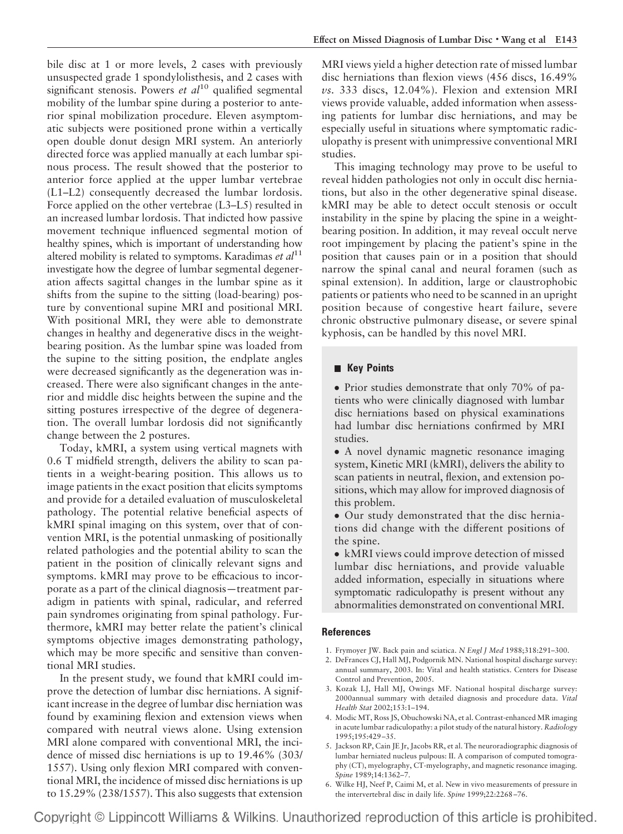bile disc at 1 or more levels, 2 cases with previously unsuspected grade 1 spondylolisthesis, and 2 cases with significant stenosis. Powers *et al*<sup>10</sup> qualified segmental mobility of the lumbar spine during a posterior to anterior spinal mobilization procedure. Eleven asymptomatic subjects were positioned prone within a vertically open double donut design MRI system. An anteriorly directed force was applied manually at each lumbar spinous process. The result showed that the posterior to anterior force applied at the upper lumbar vertebrae (L1–L2) consequently decreased the lumbar lordosis. Force applied on the other vertebrae (L3–L5) resulted in an increased lumbar lordosis. That indicted how passive movement technique influenced segmental motion of healthy spines, which is important of understanding how altered mobility is related to symptoms. Karadimas *et al*<sup>11</sup> investigate how the degree of lumbar segmental degeneration affects sagittal changes in the lumbar spine as it shifts from the supine to the sitting (load-bearing) posture by conventional supine MRI and positional MRI. With positional MRI, they were able to demonstrate changes in healthy and degenerative discs in the weightbearing position. As the lumbar spine was loaded from the supine to the sitting position, the endplate angles were decreased significantly as the degeneration was increased. There were also significant changes in the anterior and middle disc heights between the supine and the sitting postures irrespective of the degree of degeneration. The overall lumbar lordosis did not significantly change between the 2 postures.

Today, kMRI, a system using vertical magnets with 0.6 T midfield strength, delivers the ability to scan patients in a weight-bearing position. This allows us to image patients in the exact position that elicits symptoms and provide for a detailed evaluation of musculoskeletal pathology. The potential relative beneficial aspects of kMRI spinal imaging on this system, over that of convention MRI, is the potential unmasking of positionally related pathologies and the potential ability to scan the patient in the position of clinically relevant signs and symptoms. kMRI may prove to be efficacious to incorporate as a part of the clinical diagnosis—treatment paradigm in patients with spinal, radicular, and referred pain syndromes originating from spinal pathology. Furthermore, kMRI may better relate the patient's clinical symptoms objective images demonstrating pathology, which may be more specific and sensitive than conventional MRI studies.

In the present study, we found that kMRI could improve the detection of lumbar disc herniations. A significant increase in the degree of lumbar disc herniation was found by examining flexion and extension views when compared with neutral views alone. Using extension MRI alone compared with conventional MRI, the incidence of missed disc herniations is up to 19.46% (303/ 1557). Using only flexion MRI compared with conventional MRI, the incidence of missed disc herniations is up to 15.29% (238/1557). This also suggests that extension MRI views yield a higher detection rate of missed lumbar disc herniations than flexion views (456 discs, 16.49% *vs.* 333 discs, 12.04%). Flexion and extension MRI views provide valuable, added information when assessing patients for lumbar disc herniations, and may be especially useful in situations where symptomatic radiculopathy is present with unimpressive conventional MRI studies.

This imaging technology may prove to be useful to reveal hidden pathologies not only in occult disc herniations, but also in the other degenerative spinal disease. kMRI may be able to detect occult stenosis or occult instability in the spine by placing the spine in a weightbearing position. In addition, it may reveal occult nerve root impingement by placing the patient's spine in the position that causes pain or in a position that should narrow the spinal canal and neural foramen (such as spinal extension). In addition, large or claustrophobic patients or patients who need to be scanned in an upright position because of congestive heart failure, severe chronic obstructive pulmonary disease, or severe spinal kyphosis, can be handled by this novel MRI.

# **Key Points**

- Prior studies demonstrate that only 70% of patients who were clinically diagnosed with lumbar disc herniations based on physical examinations had lumbar disc herniations confirmed by MRI studies.
- A novel dynamic magnetic resonance imaging system, Kinetic MRI (kMRI), delivers the ability to scan patients in neutral, flexion, and extension positions, which may allow for improved diagnosis of this problem.
- Our study demonstrated that the disc herniations did change with the different positions of the spine.
- kMRI views could improve detection of missed lumbar disc herniations, and provide valuable added information, especially in situations where symptomatic radiculopathy is present without any abnormalities demonstrated on conventional MRI.

## **References**

- 1. Frymoyer JW. Back pain and sciatica. *N Engl J Med* 1988;318:291–300.
- 2. DeFrances CJ, Hall MJ, Podgornik MN. National hospital discharge survey: annual summary, 2003. In: Vital and health statistics. Centers for Disease Control and Prevention, 2005.
- 3. Kozak LJ, Hall MJ, Owings MF. National hospital discharge survey: 2000annual summary with detailed diagnosis and procedure data. *Vital Health Stat* 2002;153:1–194.
- 4. Modic MT, Ross JS, Obuchowski NA, et al. Contrast-enhanced MR imaging in acute lumbar radiculopathy: a pilot study of the natural history. *Radiology* 1995;195:429–35.
- 5. Jackson RP, Cain JE Jr, Jacobs RR, et al. The neuroradiographic diagnosis of lumbar herniated nucleus pulpous: II. A comparison of computed tomography (CT), myelography, CT-myelography, and magnetic resonance imaging. *Spine* 1989;14:1362–7.
- 6. Wilke HJ, Neef P, Caimi M, et al. New in vivo measurements of pressure in the intervertebral disc in daily life. *Spine* 1999;22:2268–76.

Copyright © Lippincott Williams & Wilkins. Unauthorized reproduction of this article is prohibited.